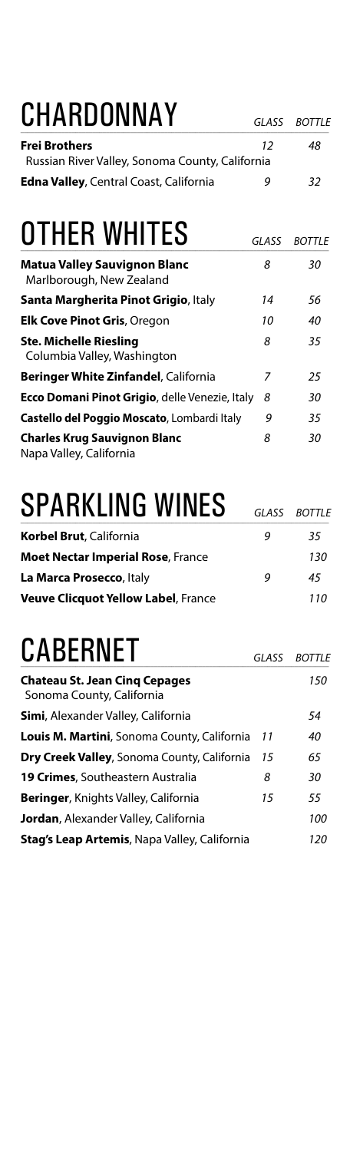# CHARDONNAY *GLASS BOTTLE*

| <b>Frei Brothers</b>                            | 12 | 48  |
|-------------------------------------------------|----|-----|
| Russian River Valley, Sonoma County, California |    |     |
| <b>Edna Valley, Central Coast, California</b>   | q  | -32 |

#### **OTHER WHITES** *GLASS BOTTLE*

| <b>Matua Valley Sauvignon Blanc</b><br>Marlborough, New Zealand | 8  | 30 |
|-----------------------------------------------------------------|----|----|
| Santa Margherita Pinot Grigio, Italy                            | 14 | 56 |
| <b>Elk Cove Pinot Gris, Oregon</b>                              | 10 | 40 |
| <b>Ste. Michelle Riesling</b><br>Columbia Valley, Washington    | 8  | 35 |
| <b>Beringer White Zinfandel, California</b>                     | 7  | 25 |
| <b>Ecco Domani Pinot Grigio, delle Venezie, Italy</b>           | 8  | 30 |
| Castello del Poggio Moscato, Lombardi Italy                     | 9  | 35 |
| <b>Charles Krug Sauvignon Blanc</b><br>Napa Valley, California  | 8  | 30 |

## SPARKLING WINES **GLASS BOTTLE**

| <b>Korbel Brut, California</b>             | Q | 35  |
|--------------------------------------------|---|-----|
| <b>Moet Nectar Imperial Rose, France</b>   |   | 130 |
| La Marca Prosecco, Italy                   | Q | 45  |
| <b>Veuve Clicquot Yellow Label, France</b> |   | 110 |

#### CABERNET *GLASS BOTTLE*

| <b>Chateau St. Jean Cing Cepages</b><br>Sonoma County, California |    | 150 |
|-------------------------------------------------------------------|----|-----|
| Simi, Alexander Valley, California                                |    | 54  |
| Louis M. Martini, Sonoma County, California                       | 11 | 40  |
| Dry Creek Valley, Sonoma County, California                       | 15 | 65  |
| <b>19 Crimes, Southeastern Australia</b>                          | 8  | 30  |
| <b>Beringer, Knights Valley, California</b>                       | 15 | 55  |
| <b>Jordan</b> , Alexander Valley, California                      |    | 100 |
| <b>Stag's Leap Artemis, Napa Valley, California</b>               |    | 120 |